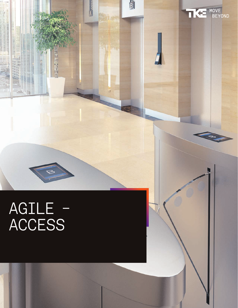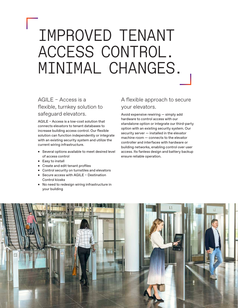## IMPROVED TENANT ACCESS CONTROL. MINIMAL CHANGES.

## AGILE – Access is a flexible, turnkey solution to safeguard elevators.

AGILE – Access is a low-cost solution that connects elevators to tenant databases to increase building access control. Our flexible solution can function independently or integrate with an existing security system and utilize the current wiring infrastructure.

- Several options available to meet desired level of access control
- Easy to install
- Create and edit tenant profiles
- Control security on turnstiles and elevators
- Secure access with AGILE Destination Control kiosks
- No need to redesign wiring infrastructure in your building

#### A flexible approach to secure your elevators.

Avoid expensive rewiring — simply add hardware to control access with our standalone option or integrate our third-party option with an existing security system. Our security server — installed in the elevator machine room — connects to the elevator controller and interfaces with hardware or building networks, enabling control over user access. Its fanless design and battery backup ensure reliable operation.

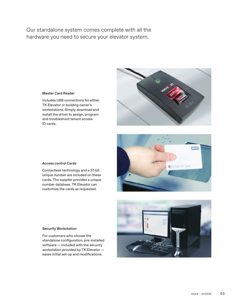Our standalone system comes complete with all the hardware you need to secure your elevator system.



#### Master Card Reader

Includes USB connections for either TK Elevator or building owner's workstations. Simply download and install the driver to assign, program and troubleshoot tenant access ID cards.



Contactless technology and a 37-bit unique number are included on these cards. The supplier provides a unique number database. TK Elevator can customize the cards as requested.



#### Security Workstation

For customers who choose the standalone configuration, pre-installed software — included with the security workstation provided by TK Elevator eases initial set-up and modifications.

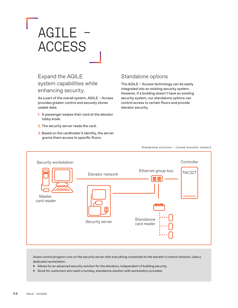## AGILE – **ACCESS**

## Expand the AGILE system capabilities while enhancing security.

As a part of the overall system, AGILE – Access provides greater control and securely stores usable data:

- 1. A passenger swipes their card at the elevator lobby kiosk.
- 2. The security server reads the card.
- 3. Based on the cardholder's identity, the server grants them access to specific floors.

#### Standalone options

The AGILE – Access technology can be easily integrated into an existing security system. However, if a building doesn't have an existing security system, our standalone options can control access to certain floors and provide elevator security.



Standalone solution – closed elevator network

Acess control program runs on the security server with everything connected to the elevator's control network. Uses a dedicated workstation.

- Allows for an advanced security solution for the elevators, independent of building security.
- Good for customers who want a turnkey, standalone solution with workstation provided.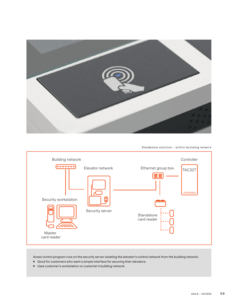

Standalone solution – within building network



Acess control program runs on the security server isolating the elevator's control network from the building network.

- Good for customers who want a simple interface for securing their elevators.
- Uses customer's workstation on customer's building network.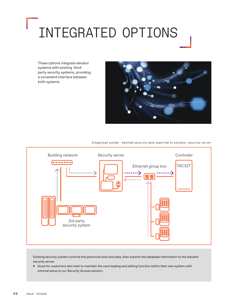# INTEGRATED OPTIONS

These options integrate elevator systems with existing thirdparty security systems, providing a consistent interface between both systems.



Integrated system – batched security data exported to elevator security server



Existing security system controls the personnel and card data, then exports the database information to the elevator security server.

■ Good for customers who wish to maintain the card reading and editing function within their own system with minimal setup to our Security Access solution.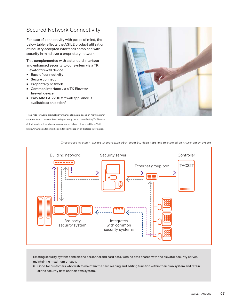### Secured Network Connectivity

For ease of connectivity with peace of mind, the below table reflects the AGILE product utilization of industry accepted interfaces combined with security in mind over a proprietary network.

This complemented with a standard interface and enhanced security to our system via a TK Elevator firewall device.

- Ease of connectivity
- Secure connect
- Proprietary network
- Common interface via a TK Elevator firewall device
- Palo Alto PA-220R firewall appliance is available as an option\*

\* Palo Alto Networks product performance claims are based on manufacturer statements and have not been independently tested or verified by TK Elevator. Actual results will vary based on environmental and other conditions. Visit https://www.paloaltonetworks.com for claim support and related information.





#### Integrated system – direct integration with security data kept and protected on third-party system

Existing security system controls the personnel and card data, with no data shared with the elevator security server, maintaining maximum privacy.

ʣ Good for customers who wish to maintain the card reading and editing function within their own system and retain all the security data on their own system.